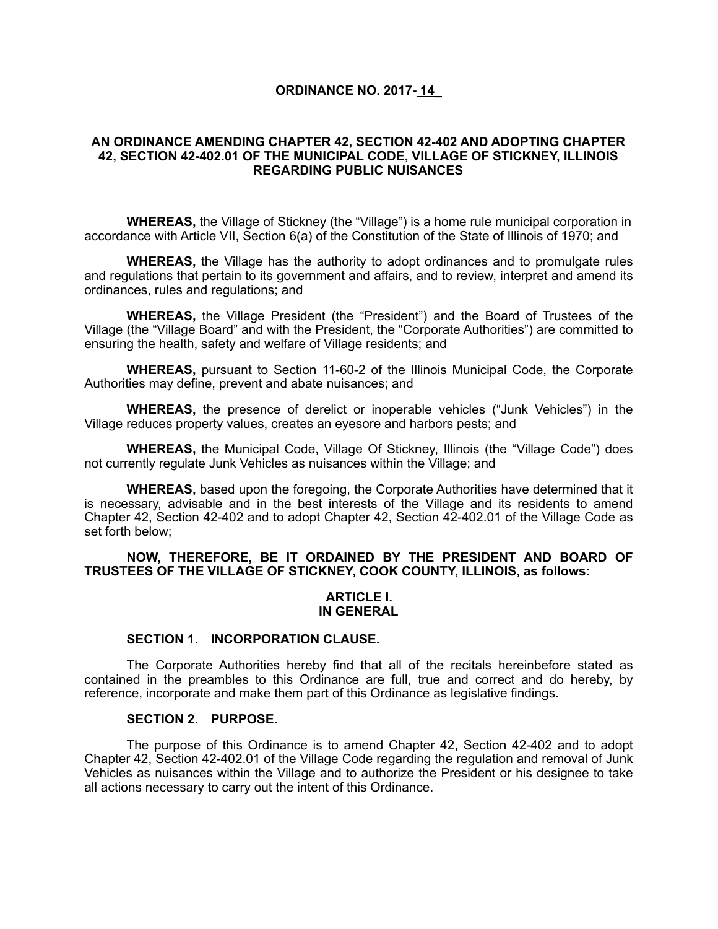## **ORDINANCE NO. 2017- 14\_**

## **AN ORDINANCE AMENDING CHAPTER 42, SECTION 42-402 AND ADOPTING CHAPTER 42, SECTION 42-402.01 OF THE MUNICIPAL CODE, VILLAGE OF STICKNEY, ILLINOIS REGARDING PUBLIC NUISANCES**

**WHEREAS,** the Village of Stickney (the "Village") is a home rule municipal corporation in accordance with Article VII, Section 6(a) of the Constitution of the State of Illinois of 1970; and

**WHEREAS,** the Village has the authority to adopt ordinances and to promulgate rules and regulations that pertain to its government and affairs, and to review, interpret and amend its ordinances, rules and regulations; and

**WHEREAS,** the Village President (the "President") and the Board of Trustees of the Village (the "Village Board" and with the President, the "Corporate Authorities") are committed to ensuring the health, safety and welfare of Village residents; and

**WHEREAS,** pursuant to Section 11-60-2 of the Illinois Municipal Code, the Corporate Authorities may define, prevent and abate nuisances; and

**WHEREAS,** the presence of derelict or inoperable vehicles ("Junk Vehicles") in the Village reduces property values, creates an eyesore and harbors pests; and

**WHEREAS,** the Municipal Code, Village Of Stickney, Illinois (the "Village Code") does not currently regulate Junk Vehicles as nuisances within the Village; and

**WHEREAS,** based upon the foregoing, the Corporate Authorities have determined that it is necessary, advisable and in the best interests of the Village and its residents to amend Chapter 42, Section 42-402 and to adopt Chapter 42, Section 42-402.01 of the Village Code as set forth below;

## **NOW, THEREFORE, BE IT ORDAINED BY THE PRESIDENT AND BOARD OF TRUSTEES OF THE VILLAGE OF STICKNEY, COOK COUNTY, ILLINOIS, as follows:**

#### **ARTICLE I. IN GENERAL**

## **SECTION 1. INCORPORATION CLAUSE.**

The Corporate Authorities hereby find that all of the recitals hereinbefore stated as contained in the preambles to this Ordinance are full, true and correct and do hereby, by reference, incorporate and make them part of this Ordinance as legislative findings.

#### **SECTION 2. PURPOSE.**

The purpose of this Ordinance is to amend Chapter 42, Section 42-402 and to adopt Chapter 42, Section 42-402.01 of the Village Code regarding the regulation and removal of Junk Vehicles as nuisances within the Village and to authorize the President or his designee to take all actions necessary to carry out the intent of this Ordinance.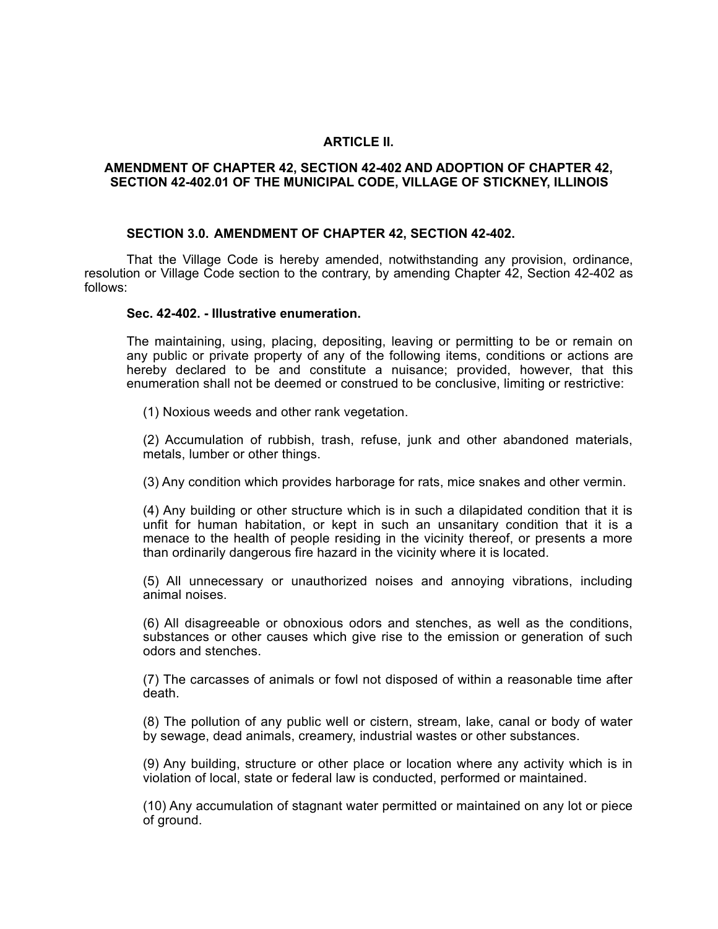## **ARTICLE II.**

### **AMENDMENT OF CHAPTER 42, SECTION 42-402 AND ADOPTION OF CHAPTER 42, SECTION 42-402.01 OF THE MUNICIPAL CODE, VILLAGE OF STICKNEY, ILLINOIS**

#### **SECTION 3.0. AMENDMENT OF CHAPTER 42, SECTION 42-402.**

That the Village Code is hereby amended, notwithstanding any provision, ordinance, resolution or Village Code section to the contrary, by amending Chapter 42, Section 42-402 as follows:

#### **Sec. 42-402. - Illustrative enumeration.**

The maintaining, using, placing, depositing, leaving or permitting to be or remain on any public or private property of any of the following items, conditions or actions are hereby declared to be and constitute a nuisance; provided, however, that this enumeration shall not be deemed or construed to be conclusive, limiting or restrictive:

(1) Noxious weeds and other rank vegetation.

(2) Accumulation of rubbish, trash, refuse, junk and other abandoned materials, metals, lumber or other things.

(3) Any condition which provides harborage for rats, mice snakes and other vermin.

(4) Any building or other structure which is in such a dilapidated condition that it is unfit for human habitation, or kept in such an unsanitary condition that it is a menace to the health of people residing in the vicinity thereof, or presents a more than ordinarily dangerous fire hazard in the vicinity where it is located.

(5) All unnecessary or unauthorized noises and annoying vibrations, including animal noises.

(6) All disagreeable or obnoxious odors and stenches, as well as the conditions, substances or other causes which give rise to the emission or generation of such odors and stenches.

(7) The carcasses of animals or fowl not disposed of within a reasonable time after death.

(8) The pollution of any public well or cistern, stream, lake, canal or body of water by sewage, dead animals, creamery, industrial wastes or other substances.

(9) Any building, structure or other place or location where any activity which is in violation of local, state or federal law is conducted, performed or maintained.

(10) Any accumulation of stagnant water permitted or maintained on any lot or piece of ground.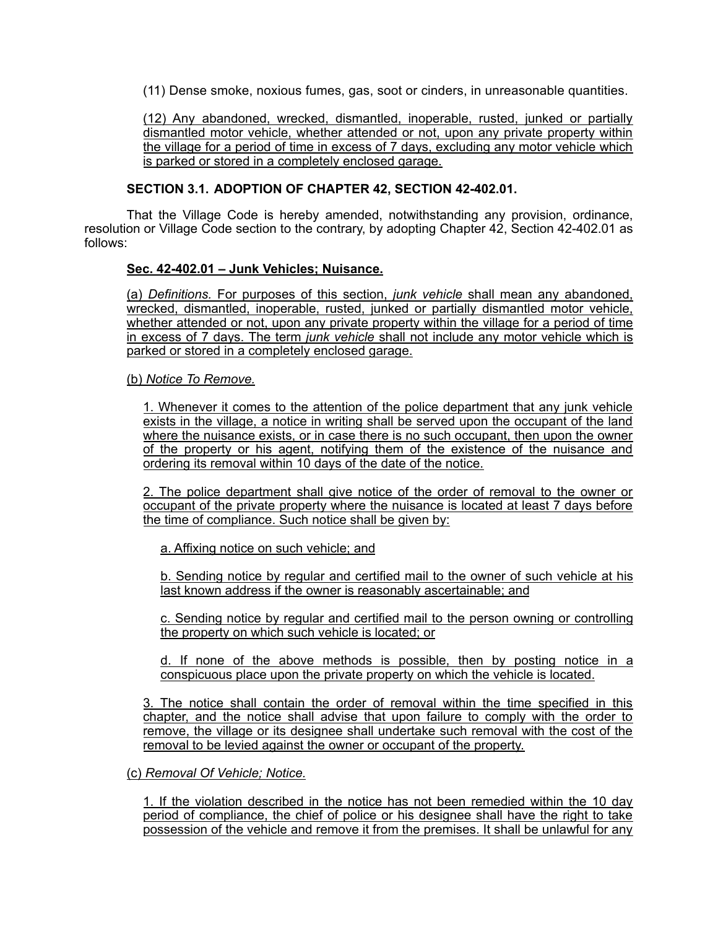(11) Dense smoke, noxious fumes, gas, soot or cinders, in unreasonable quantities.

(12) Any abandoned, wrecked, dismantled, inoperable, rusted, junked or partially dismantled motor vehicle, whether attended or not, upon any private property within the village for a period of time in excess of 7 days, excluding any motor vehicle which is parked or stored in a completely enclosed garage.

## **SECTION 3.1. ADOPTION OF CHAPTER 42, SECTION 42-402.01.**

That the Village Code is hereby amended, notwithstanding any provision, ordinance, resolution or Village Code section to the contrary, by adopting Chapter 42, Section 42-402.01 as follows:

## **Sec. 42-402.01 – Junk Vehicles; Nuisance.**

(a) *Definitions.* For purposes of this section, *junk vehicle* shall mean any abandoned, wrecked, dismantled, inoperable, rusted, junked or partially dismantled motor vehicle, whether attended or not, upon any private property within the village for a period of time in excess of 7 days. The term *junk vehicle* shall not include any motor vehicle which is parked or stored in a completely enclosed garage.

(b) *Notice To Remove.*

1. Whenever it comes to the attention of the police department that any junk vehicle exists in the village, a notice in writing shall be served upon the occupant of the land where the nuisance exists, or in case there is no such occupant, then upon the owner of the property or his agent, notifying them of the existence of the nuisance and ordering its removal within 10 days of the date of the notice.

2. The police department shall give notice of the order of removal to the owner or occupant of the private property where the nuisance is located at least 7 days before the time of compliance. Such notice shall be given by:

a. Affixing notice on such vehicle; and

b. Sending notice by regular and certified mail to the owner of such vehicle at his last known address if the owner is reasonably ascertainable; and

c. Sending notice by regular and certified mail to the person owning or controlling the property on which such vehicle is located; or

d. If none of the above methods is possible, then by posting notice in a conspicuous place upon the private property on which the vehicle is located.

3. The notice shall contain the order of removal within the time specified in this chapter, and the notice shall advise that upon failure to comply with the order to remove, the village or its designee shall undertake such removal with the cost of the removal to be levied against the owner or occupant of the property.

## (c) *Removal Of Vehicle; Notice.*

1. If the violation described in the notice has not been remedied within the 10 day period of compliance, the chief of police or his designee shall have the right to take possession of the vehicle and remove it from the premises. It shall be unlawful for any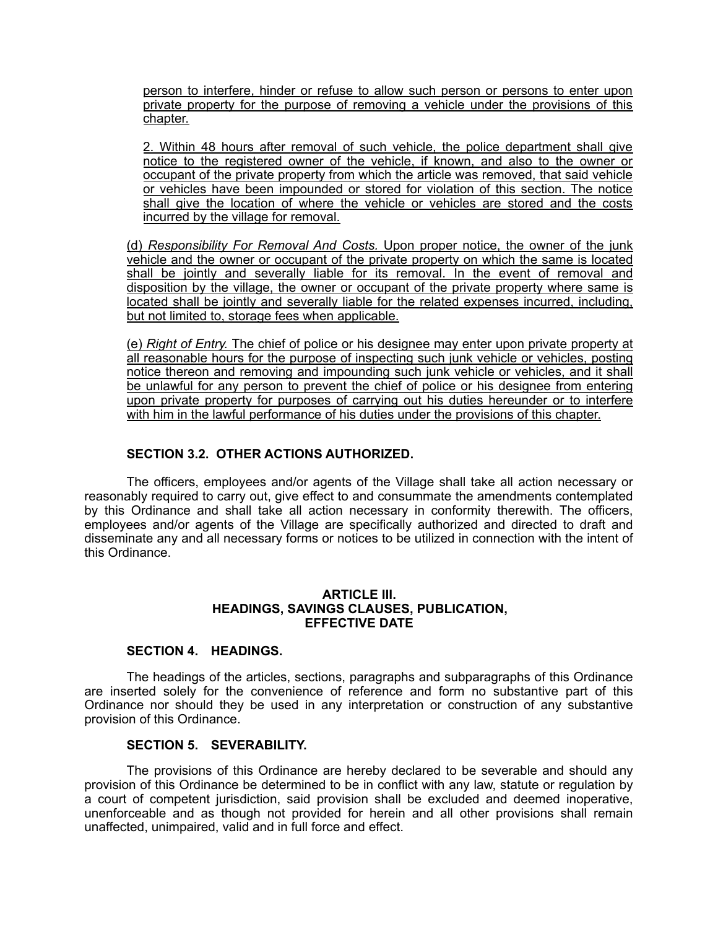person to interfere, hinder or refuse to allow such person or persons to enter upon private property for the purpose of removing a vehicle under the provisions of this chapter.

2. Within 48 hours after removal of such vehicle, the police department shall give notice to the registered owner of the vehicle, if known, and also to the owner or occupant of the private property from which the article was removed, that said vehicle or vehicles have been impounded or stored for violation of this section. The notice shall give the location of where the vehicle or vehicles are stored and the costs incurred by the village for removal.

(d) *Responsibility For Removal And Costs.* Upon proper notice, the owner of the junk vehicle and the owner or occupant of the private property on which the same is located shall be jointly and severally liable for its removal. In the event of removal and disposition by the village, the owner or occupant of the private property where same is located shall be jointly and severally liable for the related expenses incurred, including, but not limited to, storage fees when applicable.

(e) *Right of Entry.* The chief of police or his designee may enter upon private property at all reasonable hours for the purpose of inspecting such junk vehicle or vehicles, posting notice thereon and removing and impounding such junk vehicle or vehicles, and it shall be unlawful for any person to prevent the chief of police or his designee from entering upon private property for purposes of carrying out his duties hereunder or to interfere with him in the lawful performance of his duties under the provisions of this chapter.

# **SECTION 3.2. OTHER ACTIONS AUTHORIZED.**

The officers, employees and/or agents of the Village shall take all action necessary or reasonably required to carry out, give effect to and consummate the amendments contemplated by this Ordinance and shall take all action necessary in conformity therewith. The officers, employees and/or agents of the Village are specifically authorized and directed to draft and disseminate any and all necessary forms or notices to be utilized in connection with the intent of this Ordinance.

### **ARTICLE III. HEADINGS, SAVINGS CLAUSES, PUBLICATION, EFFECTIVE DATE**

## **SECTION 4. HEADINGS.**

The headings of the articles, sections, paragraphs and subparagraphs of this Ordinance are inserted solely for the convenience of reference and form no substantive part of this Ordinance nor should they be used in any interpretation or construction of any substantive provision of this Ordinance.

## **SECTION 5. SEVERABILITY.**

The provisions of this Ordinance are hereby declared to be severable and should any provision of this Ordinance be determined to be in conflict with any law, statute or regulation by a court of competent jurisdiction, said provision shall be excluded and deemed inoperative, unenforceable and as though not provided for herein and all other provisions shall remain unaffected, unimpaired, valid and in full force and effect.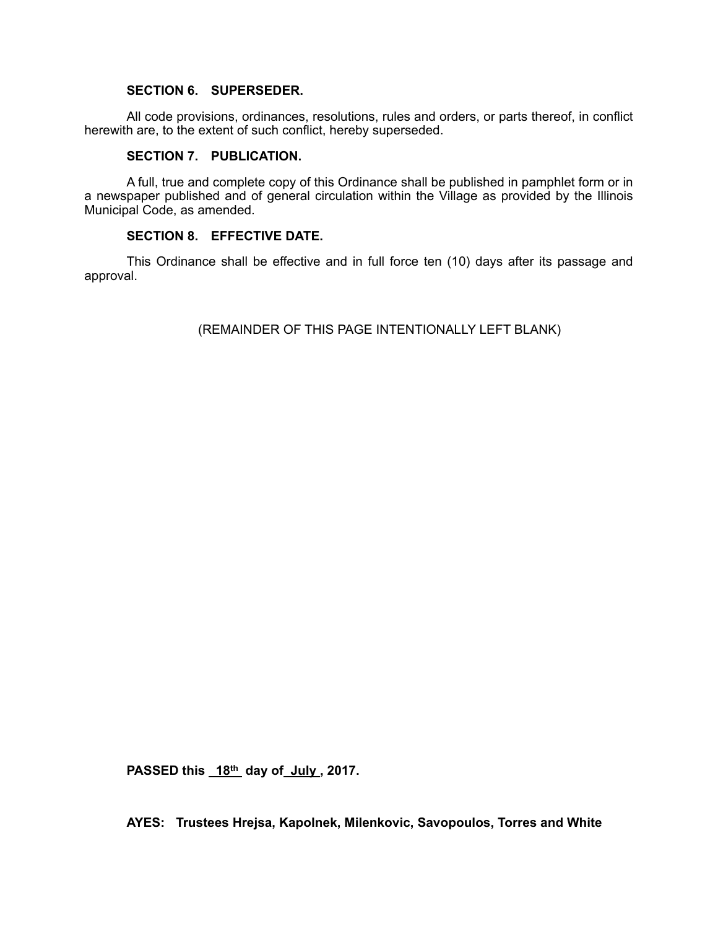### **SECTION 6. SUPERSEDER.**

All code provisions, ordinances, resolutions, rules and orders, or parts thereof, in conflict herewith are, to the extent of such conflict, hereby superseded.

## **SECTION 7. PUBLICATION.**

A full, true and complete copy of this Ordinance shall be published in pamphlet form or in a newspaper published and of general circulation within the Village as provided by the Illinois Municipal Code, as amended.

## **SECTION 8. EFFECTIVE DATE.**

This Ordinance shall be effective and in full force ten (10) days after its passage and approval.

(REMAINDER OF THIS PAGE INTENTIONALLY LEFT BLANK)

PASSED this 18<sup>th</sup> day of July, 2017.

**AYES: Trustees Hrejsa, Kapolnek, Milenkovic, Savopoulos, Torres and White**